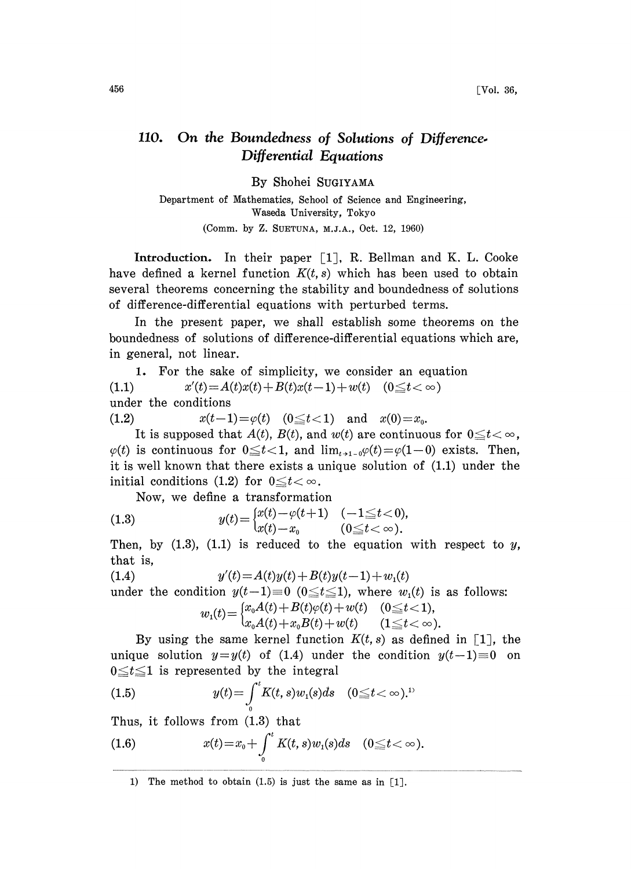## 110. On the Boundedness of Solutions of Difference-Differential Equations

By Shohei SUGIYAMA

Department of Mathematics, School of Science and Engineering, Waseda University, Tokyo (Comm. by Z. SUETUNA, M.J.A., Oct. 12, 1960)

Introduction. In their paper  $\lceil 1 \rceil$ , R. Bellman and K. L. Cooke have defined a kernel function  $K(t, s)$  which has been used to obtain several theorems concerning the stability and boundedness of solutions of difference-differential equations with perturbed terms.

In the present paper, we shall establish some theorems on the boundedness of solutions of difference-differential equations which are, in general, not linear.

1. For the sake of simplicity, we consider an equation (1.1)  $x'(t) = A(t)x(t) + B(t)x(t-1) + w(t) \quad (0 \le t < \infty)$ under the conditions

(1.2)  $x(t-1)=\varphi(t)$   $(0 \le t < 1)$  and  $x(0)=x_0$ .

It is supposed that  $A(t)$ ,  $B(t)$ , and  $w(t)$  are continuous for  $0 \le t < \infty$ ,  $\varphi(t)$  is continuous for  $0 \le t < 1$ , and  $\lim_{t \to 1} \varphi(t) = \varphi(1-0)$  exists. Then, it is well known that there exists a unique solution of (1.1) under the initial conditions (1.2) for  $0 \le t < \infty$ .

Now, we define a transformation

(1.3) 
$$
y(t) = \begin{cases} x(t) - \varphi(t+1) & (-1 \le t < 0), \\ x(t) - x_0 & (0 \le t < \infty). \end{cases}
$$

Then, by  $(1.3)$ ,  $(1.1)$  is reduced to the equation with respect to y, that is,

(1.4)  $y'(t) = A(t)y(t) + B(t)y(t-1) + w_1(t)$ 

under the condition  $y(t-1) \equiv 0 \ (0 \le t \le 1)$ , where  $w_1(t)$  is as follows:

$$
w_1(t) = \begin{cases} x_0 A(t) + B(t)\varphi(t) + w(t) & (0 \le t < 1), \\ x_0 A(t) + x_0 B(t) + w(t) & (1 \le t < \infty). \end{cases}
$$

By using the same kernel function  $K(t, s)$  as defined in [1], the unique solution  $y=y(t)$  of (1.4) under the condition  $y(t-1)\equiv 0$  on  $0 \le t \le 1$  is represented by the integral

(1.5) 
$$
y(t) = \int_{0}^{t} K(t, s) w_1(s) ds \quad (0 \leq t < \infty).^{1}
$$

hus, it follows from (1.8) that

(1.6) 
$$
x(t) = x_0 + \int_0^t K(t,s)w_1(s)ds \quad (0 \leq t < \infty).
$$

1) The method to obtain (1.5) is just the same as in [1].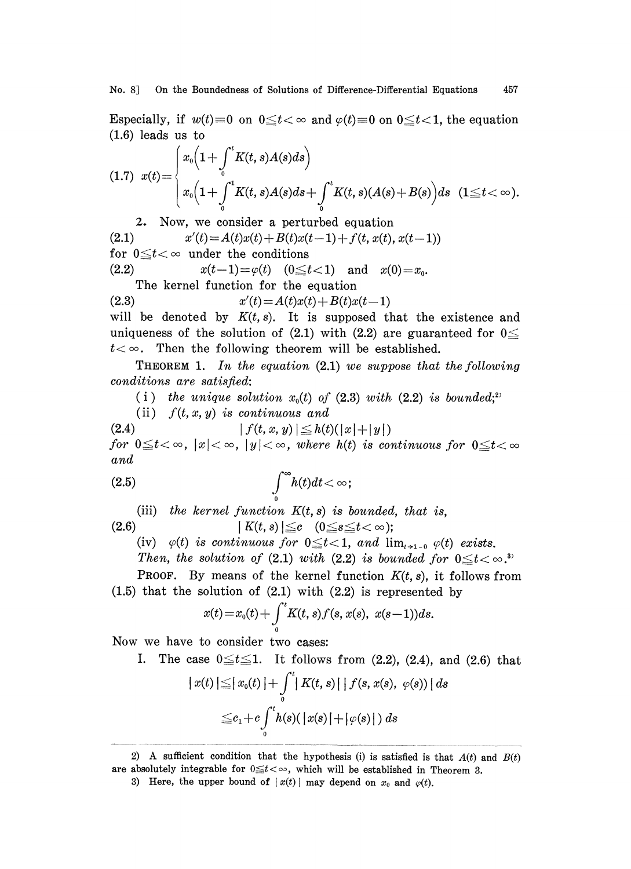Especially, if  $w(t)=0$  on  $0 \le t < \infty$  and  $\varphi(t)=0$  on  $0 \le t < 1$ , the equation (1.6) leads us to

$$
(1.7) \ \ x(t) = \begin{cases} x_0 \left( 1 + \int_0^t K(t,s)A(s)ds \right) \\ x_0 \left( 1 + \int_0^t K(t,s)A(s)ds + \int_0^t K(t,s)(A(s) + B(s))ds \ (1 \le t < \infty). \end{cases}
$$

2. Now, we consider a perturbed equation (2.1)  $x'(t) = A(t)x(t) + B(t)x(t-1) + f(t, x(t), x(t-1))$ for  $0 \leq t < \infty$  under the conditions (2.2)  $x(t-1)=\varphi(t)$   $(0 \le t < 1)$  and  $x(0)=x_0$ .

The kernel function for the equation

(2.3)  $x'(t) = A(t)x(t) + B(t)x(t-1)$ will be denoted by  $K(t, s)$ . It is supposed that the existence and uniqueness of the solution of (2.1) with (2.2) are guaranteed for  $0 \leq$  $t<\infty$ . Then the following theorem will be established.

**THEOREM 1.** In the equation  $(2.1)$  we suppose that the following conditions are satisfied:

(i) the unique solution  $x_0(t)$  of (2.3) with (2.2) is bounded;<sup>2</sup>

(ii)  $f(t, x, y)$  is continuous and

(2.4)  $|f(t, x, y)| \leq h(t)(|x|+|y|)$ for  $0 \leq t < \infty$ ,  $|x| < \infty$ ,  $|y| < \infty$ , where  $h(t)$  is continuous for  $0 \leq t < \infty$ and

$$
\int_{0}^{\infty}h(t)dt<\infty;
$$

(iii) the kernel function  $K(t, s)$  is bounded, that is,

(2.6)  $|K(t, s)| \leq c \quad (0 \leq s \leq t < \infty);$ 

(iv)  $\varphi(t)$  is continuous for  $0 \leq t < 1$ , and  $\lim_{t \to 1} \varphi(t)$  exists.

Then, the solution of (2.1) with (2.2) is bounded for  $0 \leq t < \infty$ .

**PROOF.** By means of the kernel function  $K(t, s)$ , it follows from  $(1.5)$  that the solution of  $(2.1)$  with  $(2.2)$  is represented by

$$
x(t) = x_0(t) + \int_0^t K(t, s) f(s, x(s), x(s-1)) ds.
$$

Now we have to consider two eases:

I. The case  $0 \le t \le 1$ . It follows from (2.2), (2.4), and (2.6) that

$$
|x(t)| \leq |x_0(t)| + \int_0^t |K(t,s)| |f(s,x(s), \varphi(s))| ds
$$
  

$$
\leq c_1 + c \int_0^t h(s)(|x(s)| + |\varphi(s)|) ds
$$

<sup>2)</sup> A sufficient condition that the hypothesis (i) is satisfied is that  $A(t)$  and  $B(t)$ are absolutely integrable for  $0 \le t < \infty$ , which will be established in Theorem 3.

<sup>3)</sup> Here, the upper bound of  $|x(t)|$  may depend on  $x_0$  and  $\varphi(t)$ .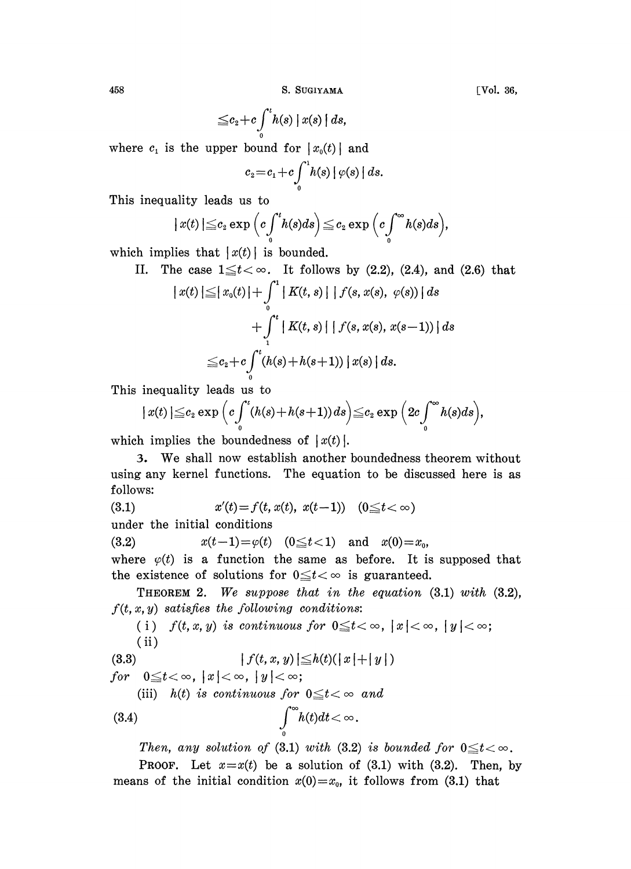458 S. SUGIYAMA

$$
\leq c_2+c\int\limits_{0}^{t}h(s)\mid x(s)\mid ds,
$$

where  $c_1$  is the upper bound for  $|x_0(t)|$  and

$$
c_2 = c_1 + c \int_0^1 h(s) | \varphi(s) | ds.
$$

This inequality leads us to

$$
|x(t)| \leq c_2 \exp\left(c \int_0^t h(s) ds\right) \leq c_2 \exp\left(c \int_0^\infty h(s) ds\right),
$$

which implies that  $|x(t)|$  is bounded.

II. The case  $1 \le t < \infty$ . It follows by (2.2), (2.4), and (2.6) that

$$
|x(t)| \leq |x_0(t)| + \int_0^1 |K(t, s)| |f(s, x(s), \varphi(s))| ds
$$
  
+ 
$$
\int_1^t |K(t, s)| |f(s, x(s), x(s-1))| ds
$$
  

$$
\leq c_2 + c \int_0^t (h(s) + h(s+1)) |x(s)| ds.
$$

This inequality leads us to

$$
|x(t)| \leq c_2 \exp \Big(c \int_0^t (h(s) + h(s+1)) ds\Big) \leq c_2 \exp \Big(2c \int_0^\infty h(s) ds\Big),
$$

which implies the boundedness of  $|x(t)|$ .

3. We shall now establish another boundedness theorem without using any kernel functions. The equation to be discussed here is as follows:

(3.1)  $x'(t) = f(t, x(t), x(t-1))$   $(0 \le t < \infty)$ 

under the initial conditions

(3.2)  $x(t-1)=\varphi(t)$   $(0 \le t < 1)$  and  $x(0)=x_0$ ,

where  $\varphi(t)$  is a function the same as before. It is supposed that the existence of solutions for  $0 \le t < \infty$  is guaranteed.

THEOREM 2. We suppose that in the equation  $(3.1)$  with  $(3.2)$ ,  $f(t, x, y)$  satisfies the following conditions:

(i)  $f(t, x, y)$  is continuous for  $0 \leq t < \infty$ ,  $|x| < \infty$ ,  $|y| < \infty$ ; (ii)

(3.3)  $|f(t, x, y)| \leq h(t) (|x| + |y|)$ 

for  $0 \leq t < \infty$ ,  $|x| < \infty$ ,  $|y| < \infty$ ;

(iii) h(t) is continuous for  $0 \le t < \infty$  and

$$
\int_{0}^{\infty} h(t)dt < \infty.
$$

Then, any solution of (3.1) with (3.2) is bounded for  $0 \leq t < \infty$ .

**PROOF.** Let  $x=x(t)$  be a solution of (3.1) with (3.2). Then, by means of the initial condition  $x(0)=x_0$ , it follows from (3.1) that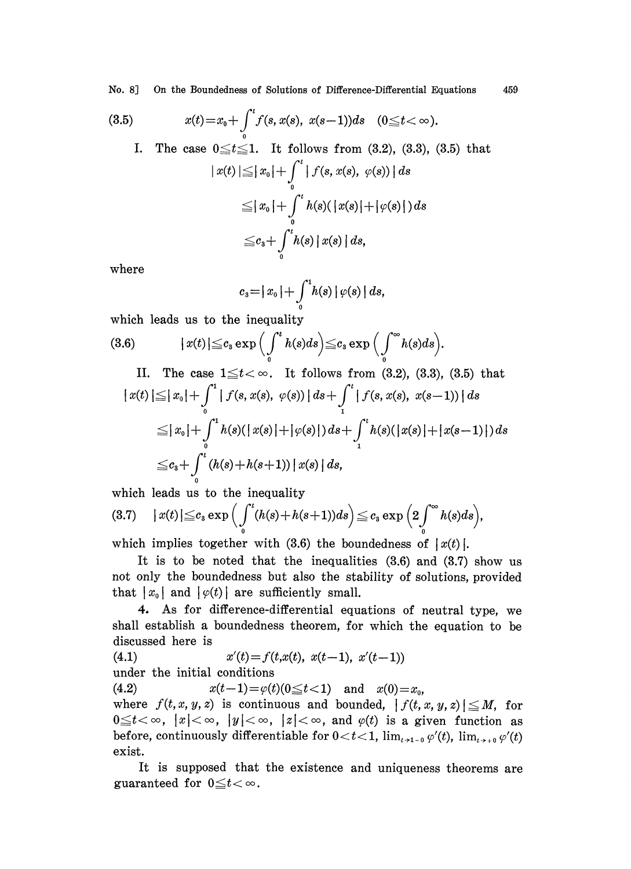No. 8] On the Boundedness of Solutions of Difference-Differential Equations 459

(3.5) 
$$
x(t) = x_0 + \int_0^t f(s, x(s), x(s-1))ds \quad (0 \leq t < \infty).
$$

I. The case  $0 \le t \le 1$ . It follows from (3.2), (3.3), (3.5) that  $|x(t)| \leq |x_0| + \int_{0}^{t} |f(s, x(s), \varphi(s))| ds$  $\leq |x_0| + \int_0^t h(s)(|x(s)| + |\varphi(s)|) ds$  $\leq c_3+\int^t h(s)\,|\,x(s)\,|\,ds,$ 

where

$$
c_3 = |x_0| + \int_0^1 h(s) | \varphi(s) | ds,
$$

which leads us to the inequality

(3.6) 
$$
|x(t)| \leq c_3 \exp\left(\int_0^t h(s)ds\right) \leq c_3 \exp\left(\int_0^\infty h(s)ds\right).
$$

II. The case 
$$
1 \le t < \infty
$$
. It follows from (3.2), (3.3), (3.5) that  
\n $|x(t)| \le |x_0| + \int_0^1 |f(s, x(s), \varphi(s))| ds + \int_1^t |f(s, x(s), x(s-1))| ds$   
\n $\le |x_0| + \int_0^1 h(s)(|x(s)| + |\varphi(s)|) ds + \int_1^t h(s)(|x(s)| + |x(s-1)|) ds$   
\n $\le c_3 + \int_0^t (h(s) + h(s+1)) |x(s)| ds$ ,

which leads us to the inequality

$$
(3.7) \quad |x(t)| \leq c_3 \exp\Big(\int_0^t (h(s)+h(s+1))ds\Big) \leq c_3 \exp\Big(2\int_0^\infty h(s)ds\Big),
$$

which implies together with  $(3.6)$  the boundedness of  $\lceil x(t) \rceil$ .

It is to be noted that the inequalities  $(3.6)$  and  $(3.7)$  show us not only the boundedness but also the stability of solutions, provided that  $|x_0|$  and  $|\varphi(t)|$  are sufficiently small.

4. As for difference-differential equations of neutral type, we shall establish a boundedness theorem, for which the equation to be discussed here is

(4.1)  $x'(t) = f(t,x(t), x(t-1), x'(t-1))$ under the initial conditions (4.2)  $x(t-1)=\varphi(t)(0\leq t<1)$  and  $x(0)=x_0$ , where  $f(t, x, y, z)$  is continuous and bounded,  $|f(t, x, y, z)| \leq M$ , for  $0 \le t < \infty$ ,  $|x| < \infty$ ,  $|y| < \infty$ ,  $|z| < \infty$ , and  $\varphi(t)$  is a given function as before, continuously differentiable for  $0 < t < 1$ ,  $\lim_{t\to 1} \varphi'(t)$ ,  $\lim_{t\to 0} \varphi'(t)$ exist.

It is supposed that the existence and uniqueness theorems are guaranteed for  $0 \leq t < \infty$ .